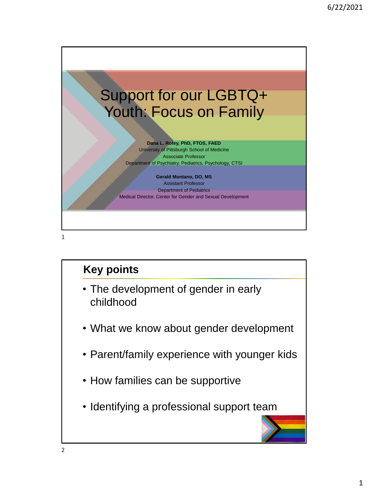

### **Key points**

- The development of gender in early childhood
- What we know about gender development
- Parent/family experience with younger kids
- How families can be supportive
- Identifying a professional support team

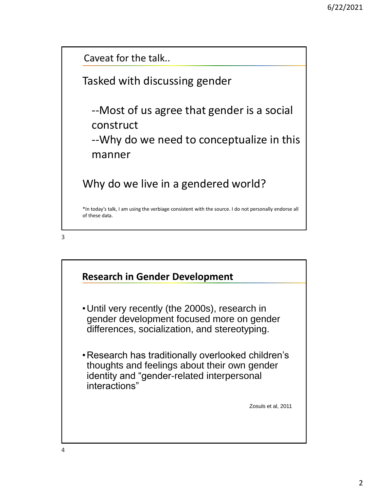Caveat for the talk..

Tasked with discussing gender

--Most of us agree that gender is a social construct --Why do we need to conceptualize in this

manner

Why do we live in a gendered world?

\*In today's talk, I am using the verbiage consistent with the source. I do not personally endorse all of these data.



## **Research in Gender Development** •Until very recently (the 2000s), research in gender development focused more on gender differences, socialization, and stereotyping. •Research has traditionally overlooked children's thoughts and feelings about their own gender identity and "gender-related interpersonal interactions" Zosuls et al, 2011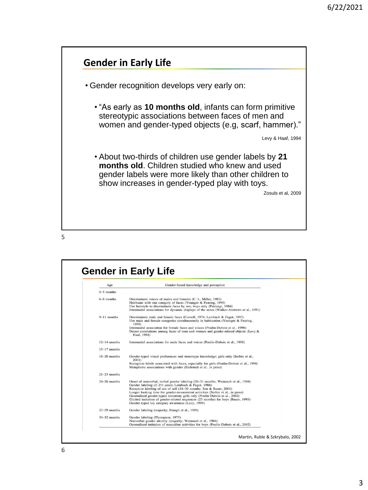

5

| Age              | Gender-based knowledge and perception                                                                                                                                                                                                                                                                                                                                                                                                                                                                                       |
|------------------|-----------------------------------------------------------------------------------------------------------------------------------------------------------------------------------------------------------------------------------------------------------------------------------------------------------------------------------------------------------------------------------------------------------------------------------------------------------------------------------------------------------------------------|
| $0-5$ months     |                                                                                                                                                                                                                                                                                                                                                                                                                                                                                                                             |
| 6-8 months       | Discriminate voices of males and females (C. L. Miller, 1983)<br>Habituate with one category of faces (Younger & Fearing, 1999)<br>Use hairstyle to discriminate faces by sex; boys only (Pakizegi, 1984)<br>Intermodal associations for dynamic displays of the sexes (Walker-Andrews et al., 1991)                                                                                                                                                                                                                        |
| $9-11$ months    | Discriminate male and female faces (Cornell, 1974; Leinbach & Fagot, 1993)<br>Use male and female categories simultaneously in habituation (Younger & Fearing,<br>1999)                                                                                                                                                                                                                                                                                                                                                     |
|                  | Intermodal association for female faces and voices (Poulin-Dubois et al., 1998)<br>Detect correlations among faces of men and women and gender-related objects (Levy &<br>Haaf, 1994)                                                                                                                                                                                                                                                                                                                                       |
| $12-14$ months   | Intermodal associations for male faces and voices (Poulin-Dubois et al., 1998)                                                                                                                                                                                                                                                                                                                                                                                                                                              |
| $15-17$ months   |                                                                                                                                                                                                                                                                                                                                                                                                                                                                                                                             |
| $18-20$ months   | Gender-typed visual preferences and stereotype knowledge; girls only (Serbin et al.,<br>2001)<br>Recognize labels associated with faces, especially for girls (Poulin-Dubois et al., 1998)<br>Metaphoric associations with gender (Eichstedt et al., in press)                                                                                                                                                                                                                                                              |
| $21-23$ months   |                                                                                                                                                                                                                                                                                                                                                                                                                                                                                                                             |
| $24 - 26$ months | Onset of nonverbal, verbal gender labeling (26–31 months; Weinraub et al., 1984)<br>Gender labeling (2-2½ years; Leinbach & Fagot, 1986)<br>Receptive labeling of sex of self (24–30 months; Sen & Bauer, 2001)<br>Longer looking time for gender-inconsistent activities (Serbin et al., in press)<br>Generalized gender-typed imitation; girls only (Poulin-Dubois et al., 2002)<br>Elicited imitation of gender-related sequences (25 months) for boys (Bauer, 1993)<br>Gender-typed toy category awareness (Levy, 1999) |
| $27-29$ months   | Gender labeling (majority; Etaugh et al., 1989).                                                                                                                                                                                                                                                                                                                                                                                                                                                                            |
| $30-32$ months   | Gender labeling (Thompson, 1975)<br>Nonverbal gender identity (majority; Weinraub et al., 1984)<br>Generalized imitation of masculine activities for boys (Poulin-Dubois et al., 2002)                                                                                                                                                                                                                                                                                                                                      |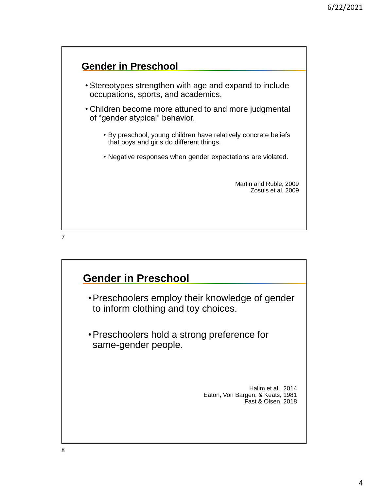

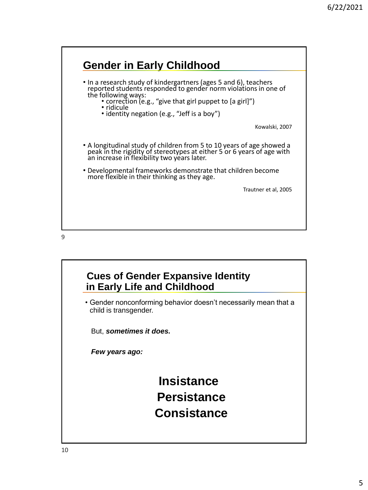

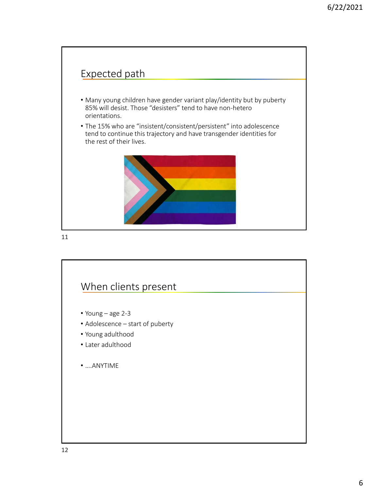

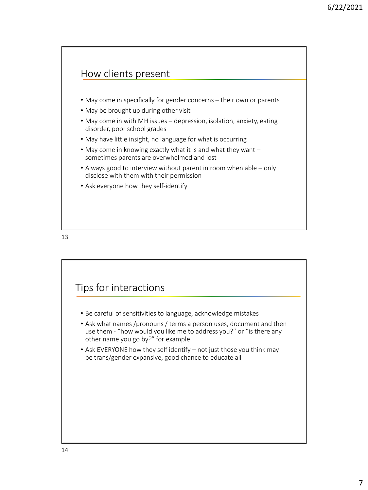#### How clients present

- May come in specifically for gender concerns their own or parents
- May be brought up during other visit
- May come in with MH issues depression, isolation, anxiety, eating disorder, poor school grades
- May have little insight, no language for what is occurring
- May come in knowing exactly what it is and what they want sometimes parents are overwhelmed and lost
- Always good to interview without parent in room when able only disclose with them with their permission
- Ask everyone how they self-identify



# Tips for interactions • Be careful of sensitivities to language, acknowledge mistakes • Ask what names /pronouns / terms a person uses, document and then use them - "how would you like me to address you?" or "is there any other name you go by?" for example • Ask EVERYONE how they self identify – not just those you think may be trans/gender expansive, good chance to educate all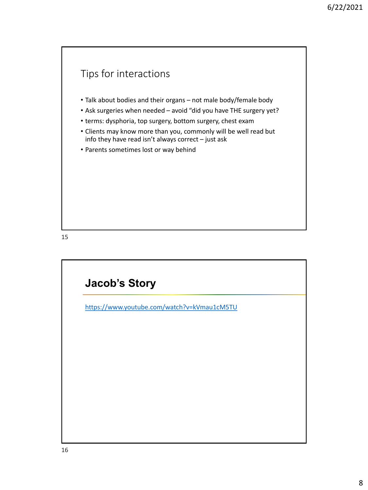# Tips for interactions • Talk about bodies and their organs – not male body/female body • Ask surgeries when needed – avoid "did you have THE surgery yet? • terms: dysphoria, top surgery, bottom surgery, chest exam • Clients may know more than you, commonly will be well read but info they have read isn't always correct – just ask • Parents sometimes lost or way behind

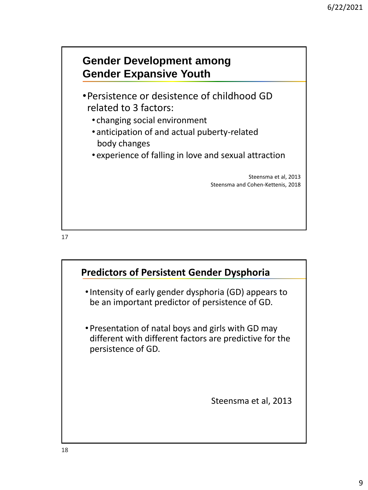

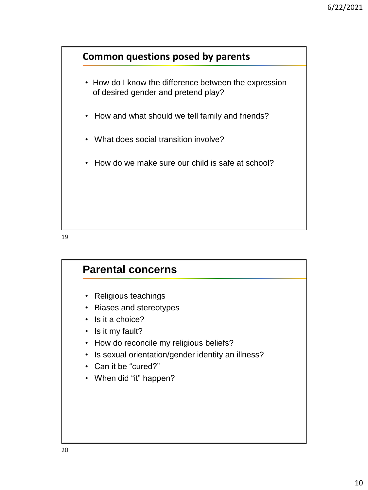

- How do I know the difference between the expression of desired gender and pretend play?
- How and what should we tell family and friends?
- What does social transition involve?
- How do we make sure our child is safe at school?

# **Parental concerns** • Religious teachings • Biases and stereotypes • Is it a choice? • Is it my fault? • How do reconcile my religious beliefs? • Is sexual orientation/gender identity an illness? • Can it be "cured?" • When did "it" happen?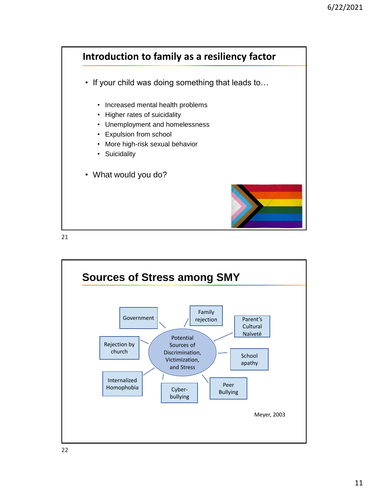

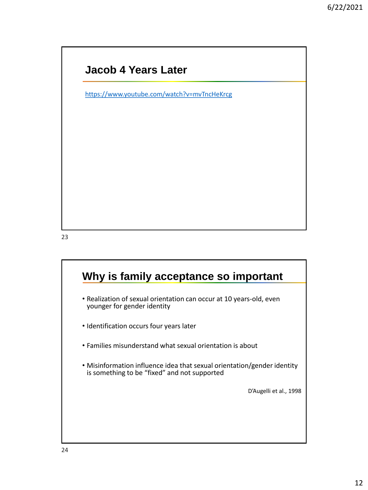#### **Jacob 4 Years Later**

<https://www.youtube.com/watch?v=mvTncHeKrcg>

23

### **Why is family acceptance so important**

- Realization of sexual orientation can occur at 10 years-old, even younger for gender identity
- Identification occurs four years later
- Families misunderstand what sexual orientation is about
- Misinformation influence idea that sexual orientation/gender identity is something to be "fixed" and not supported

D'Augelli et al., 1998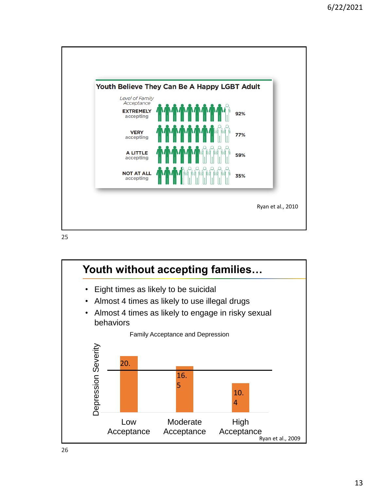

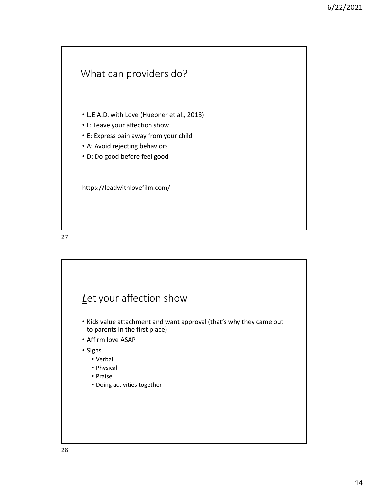

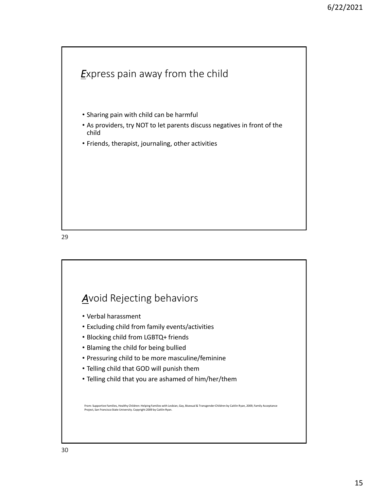

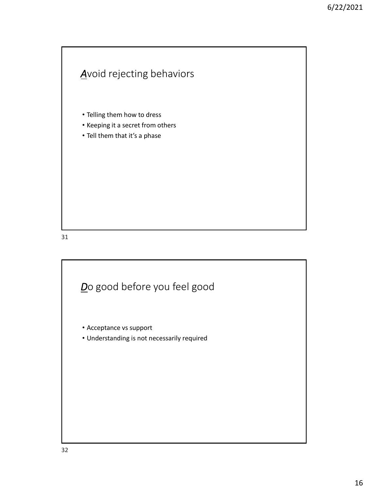### *A*void rejecting behaviors

- Telling them how to dress
- Keeping it a secret from others
- Tell them that it's a phase

31

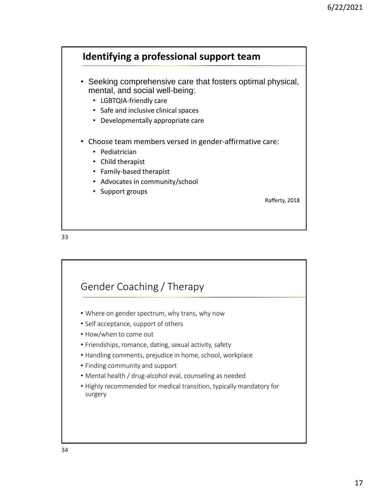#### **Identifying a professional support team**

- Seeking comprehensive care that fosters optimal physical, mental, and social well-being:
	- LGBTQIA-friendly care
	- Safe and inclusive clinical spaces
	- Developmentally appropriate care
- Choose team members versed in gender-affirmative care:
	- Pediatrician
	- Child therapist
	- Family-based therapist
	- Advocates in community/school
	- Support groups

Rafferty, 2018

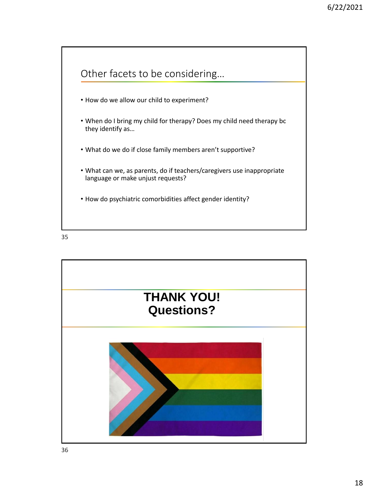